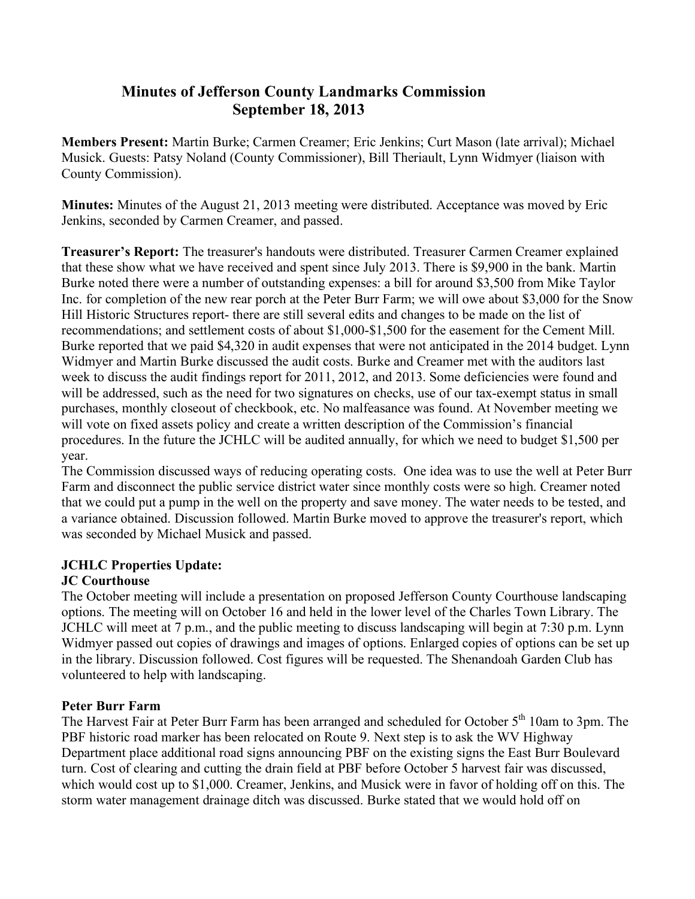# **Minutes of Jefferson County Landmarks Commission September 18, 2013**

**Members Present:** Martin Burke; Carmen Creamer; Eric Jenkins; Curt Mason (late arrival); Michael Musick. Guests: Patsy Noland (County Commissioner), Bill Theriault, Lynn Widmyer (liaison with County Commission).

**Minutes:** Minutes of the August 21, 2013 meeting were distributed. Acceptance was moved by Eric Jenkins, seconded by Carmen Creamer, and passed.

**Treasurer's Report:** The treasurer's handouts were distributed. Treasurer Carmen Creamer explained that these show what we have received and spent since July 2013. There is \$9,900 in the bank. Martin Burke noted there were a number of outstanding expenses: a bill for around \$3,500 from Mike Taylor Inc. for completion of the new rear porch at the Peter Burr Farm; we will owe about \$3,000 for the Snow Hill Historic Structures report- there are still several edits and changes to be made on the list of recommendations; and settlement costs of about \$1,000-\$1,500 for the easement for the Cement Mill. Burke reported that we paid \$4,320 in audit expenses that were not anticipated in the 2014 budget. Lynn Widmyer and Martin Burke discussed the audit costs. Burke and Creamer met with the auditors last week to discuss the audit findings report for 2011, 2012, and 2013. Some deficiencies were found and will be addressed, such as the need for two signatures on checks, use of our tax-exempt status in small purchases, monthly closeout of checkbook, etc. No malfeasance was found. At November meeting we will vote on fixed assets policy and create a written description of the Commission's financial procedures. In the future the JCHLC will be audited annually, for which we need to budget \$1,500 per year.

The Commission discussed ways of reducing operating costs. One idea was to use the well at Peter Burr Farm and disconnect the public service district water since monthly costs were so high. Creamer noted that we could put a pump in the well on the property and save money. The water needs to be tested, and a variance obtained. Discussion followed. Martin Burke moved to approve the treasurer's report, which was seconded by Michael Musick and passed.

## **JCHLC Properties Update:**

## **JC Courthouse**

The October meeting will include a presentation on proposed Jefferson County Courthouse landscaping options. The meeting will on October 16 and held in the lower level of the Charles Town Library. The JCHLC will meet at 7 p.m., and the public meeting to discuss landscaping will begin at 7:30 p.m. Lynn Widmyer passed out copies of drawings and images of options. Enlarged copies of options can be set up in the library. Discussion followed. Cost figures will be requested. The Shenandoah Garden Club has volunteered to help with landscaping.

## **Peter Burr Farm**

The Harvest Fair at Peter Burr Farm has been arranged and scheduled for October 5<sup>th</sup> 10am to 3pm. The PBF historic road marker has been relocated on Route 9. Next step is to ask the WV Highway Department place additional road signs announcing PBF on the existing signs the East Burr Boulevard turn. Cost of clearing and cutting the drain field at PBF before October 5 harvest fair was discussed, which would cost up to \$1,000. Creamer, Jenkins, and Musick were in favor of holding off on this. The storm water management drainage ditch was discussed. Burke stated that we would hold off on